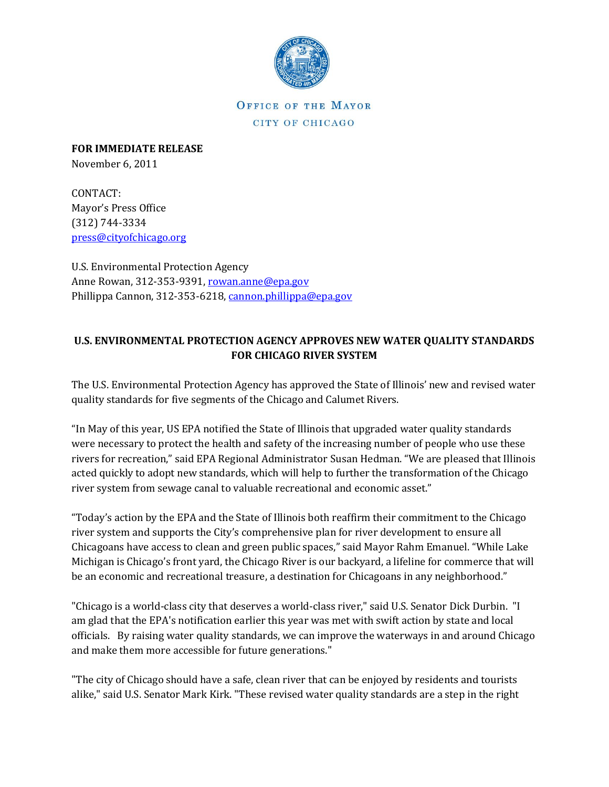

OFFICE OF THE MAYOR CITY OF CHICAGO

**FOR IMMEDIATE RELEASE** November 6, 2011

CONTACT: Mayor's Press Office (312) 744-3334 [press@cityofchicago.org](mailto:press@cityofchicago.org)

U.S. Environmental Protection Agency Anne Rowan, 312-353-9391, [rowan.anne@epa.gov](mailto:rowan.anne@epa.gov) Phillippa Cannon, 312-353-6218, [cannon.phillippa@epa.gov](mailto:cannon.phillippa@epa.gov)

## **U.S. ENVIRONMENTAL PROTECTION AGENCY APPROVES NEW WATER QUALITY STANDARDS FOR CHICAGO RIVER SYSTEM**

The U.S. Environmental Protection Agency has approved the State of Illinois' new and revised water quality standards for five segments of the Chicago and Calumet Rivers.

"In May of this year, US EPA notified the State of Illinois that upgraded water quality standards were necessary to protect the health and safety of the increasing number of people who use these rivers for recreation," said EPA Regional Administrator Susan Hedman. "We are pleased that Illinois acted quickly to adopt new standards, which will help to further the transformation of the Chicago river system from sewage canal to valuable recreational and economic asset."

"Today's action by the EPA and the State of Illinois both reaffirm their commitment to the Chicago river system and supports the City's comprehensive plan for river development to ensure all Chicagoans have access to clean and green public spaces," said Mayor Rahm Emanuel. "While Lake Michigan is Chicago's front yard, the Chicago River is our backyard, a lifeline for commerce that will be an economic and recreational treasure, a destination for Chicagoans in any neighborhood."

"Chicago is a world-class city that deserves a world-class river," said U.S. Senator Dick Durbin. "I am glad that the EPA's notification earlier this year was met with swift action by state and local officials. By raising water quality standards, we can improve the waterways in and around Chicago and make them more accessible for future generations."

"The city of Chicago should have a safe, clean river that can be enjoyed by residents and tourists alike," said U.S. Senator Mark Kirk. "These revised water quality standards are a step in the right